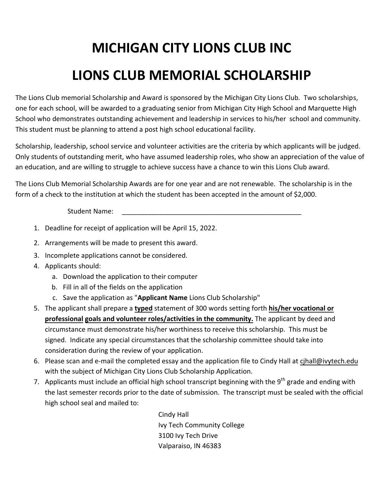## **MICHIGAN CITY LIONS CLUB INC LIONS CLUB MEMORIAL SCHOLARSHIP**

The Lions Club memorial Scholarship and Award is sponsored by the Michigan City Lions Club. Two scholarships, one for each school, will be awarded to a graduating senior from Michigan City High School and Marquette High School who demonstrates outstanding achievement and leadership in services to his/her school and community. This student must be planning to attend a post high school educational facility.

Scholarship, leadership, school service and volunteer activities are the criteria by which applicants will be judged. Only students of outstanding merit, who have assumed leadership roles, who show an appreciation of the value of an education, and are willing to struggle to achieve success have a chance to win this Lions Club award.

The Lions Club Memorial Scholarship Awards are for one year and are not renewable. The scholarship is in the form of a check to the institution at which the student has been accepted in the amount of \$2,000.

Student Name:

- 1. Deadline for receipt of application will be April 15, 2022.
- 2. Arrangements will be made to present this award.
- 3. Incomplete applications cannot be considered.
- 4. Applicants should:
	- a. Download the application to their computer
	- b. Fill in all of the fields on the application
	- c. Save the application as "**Applicant Name** Lions Club Scholarship"
- 5. The applicant shall prepare a **typed** statement of 300 words setting forth **his/her vocational or professional goals and volunteer roles/activities in the community.** The applicant by deed and circumstance must demonstrate his/her worthiness to receive this scholarship. This must be signed. Indicate any special circumstances that the scholarship committee should take into consideration during the review of your application.
- 6. Please scan and e‐mail the completed essay and the application file to Cindy Hall at [cjhall@ivytech.edu](mailto:cjhall@ivytech.edu) with the subject of Michigan City Lions Club Scholarship Application.
- 7. Applicants must include an official high school transcript beginning with the 9<sup>th</sup> grade and ending with the last semester records prior to the date of submission. The transcript must be sealed with the official high school seal and mailed to:

Cindy Hall Ivy Tech Community College 3100 Ivy Tech Drive Valparaiso, IN 46383